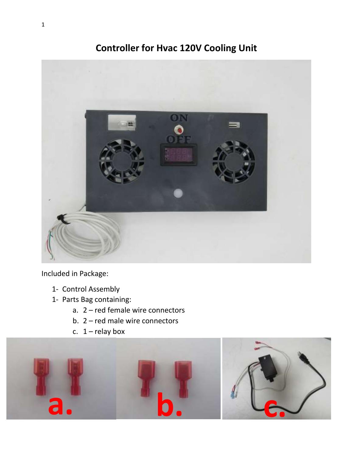# **Controller for Hvac 120V Cooling Unit**



Included in Package:

- 1- Control Assembly
- 1- Parts Bag containing:
	- a. 2 red female wire connectors
	- b. 2 red male wire connectors
	- c.  $1$  relay box

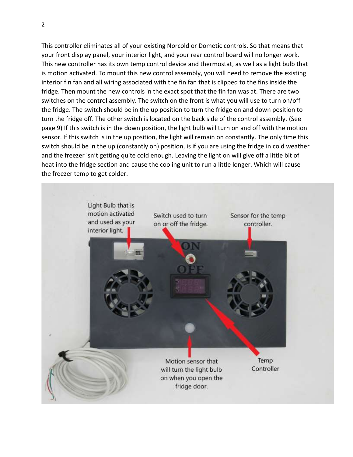This controller eliminates all of your existing Norcold or Dometic controls. So that means that your front display panel, your interior light, and your rear control board will no longer work. This new controller has its own temp control device and thermostat, as well as a light bulb that is motion activated. To mount this new control assembly, you will need to remove the existing interior fin fan and all wiring associated with the fin fan that is clipped to the fins inside the fridge. Then mount the new controls in the exact spot that the fin fan was at. There are two switches on the control assembly. The switch on the front is what you will use to turn on/off the fridge. The switch should be in the up position to turn the fridge on and down position to turn the fridge off. The other switch is located on the back side of the control assembly. (See page 9) If this switch is in the down position, the light bulb will turn on and off with the motion sensor. If this switch is in the up position, the light will remain on constantly. The only time this switch should be in the up (constantly on) position, is if you are using the fridge in cold weather and the freezer isn't getting quite cold enough. Leaving the light on will give off a little bit of heat into the fridge section and cause the cooling unit to run a little longer. Which will cause the freezer temp to get colder.

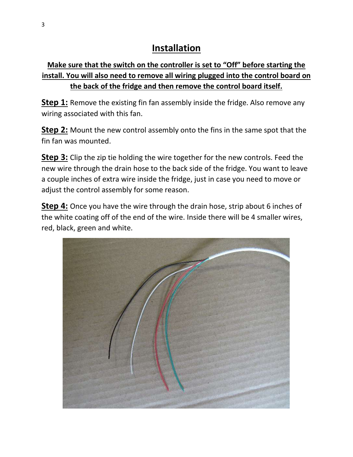# **Installation**

## **Make sure that the switch on the controller is set to "Off" before starting the install. You will also need to remove all wiring plugged into the control board on the back of the fridge and then remove the control board itself.**

**Step 1:** Remove the existing fin fan assembly inside the fridge. Also remove any wiring associated with this fan.

**Step 2:** Mount the new control assembly onto the fins in the same spot that the fin fan was mounted.

**Step 3:** Clip the zip tie holding the wire together for the new controls. Feed the new wire through the drain hose to the back side of the fridge. You want to leave a couple inches of extra wire inside the fridge, just in case you need to move or adjust the control assembly for some reason.

**Step 4:** Once you have the wire through the drain hose, strip about 6 inches of the white coating off of the end of the wire. Inside there will be 4 smaller wires, red, black, green and white.

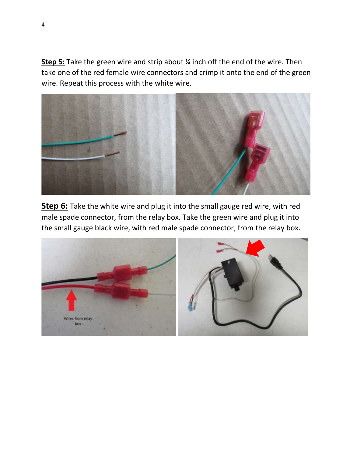**Step 5:** Take the green wire and strip about ¼ inch off the end of the wire. Then take one of the red female wire connectors and crimp it onto the end of the green wire. Repeat this process with the white wire.



**Step 6:** Take the white wire and plug it into the small gauge red wire, with red male spade connector, from the relay box. Take the green wire and plug it into the small gauge black wire, with red male spade connector, from the relay box.

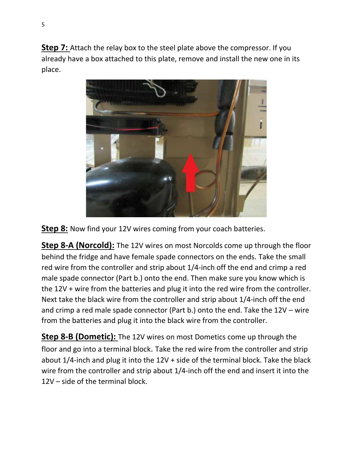**Step 7:** Attach the relay box to the steel plate above the compressor. If you already have a box attached to this plate, remove and install the new one in its place.



**Step 8:** Now find your 12V wires coming from your coach batteries.

**Step 8-A (Norcold):** The 12V wires on most Norcolds come up through the floor behind the fridge and have female spade connectors on the ends. Take the small red wire from the controller and strip about 1/4-inch off the end and crimp a red male spade connector (Part b.) onto the end. Then make sure you know which is the 12V + wire from the batteries and plug it into the red wire from the controller. Next take the black wire from the controller and strip about 1/4-inch off the end and crimp a red male spade connector (Part b.) onto the end. Take the 12V – wire from the batteries and plug it into the black wire from the controller.

**Step 8-B (Dometic):** The 12V wires on most Dometics come up through the floor and go into a terminal block. Take the red wire from the controller and strip about 1/4-inch and plug it into the 12V + side of the terminal block. Take the black wire from the controller and strip about 1/4-inch off the end and insert it into the 12V – side of the terminal block.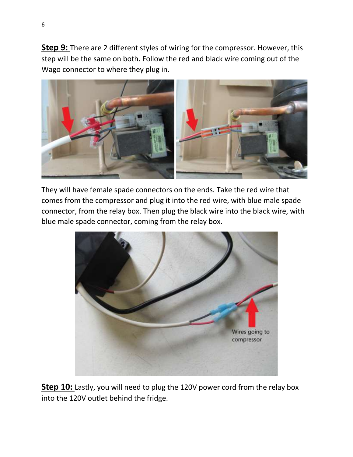**Step 9:** There are 2 different styles of wiring for the compressor. However, this step will be the same on both. Follow the red and black wire coming out of the Wago connector to where they plug in.



They will have female spade connectors on the ends. Take the red wire that comes from the compressor and plug it into the red wire, with blue male spade connector, from the relay box. Then plug the black wire into the black wire, with blue male spade connector, coming from the relay box.



**Step 10:** Lastly, you will need to plug the 120V power cord from the relay box into the 120V outlet behind the fridge.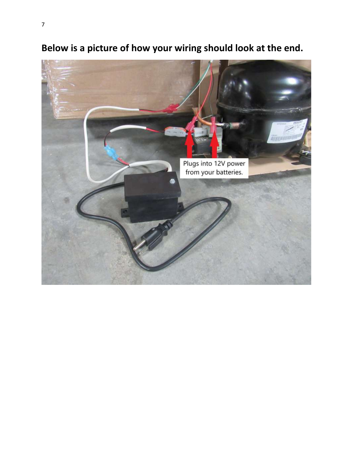

**Below is a picture of how your wiring should look at the end.**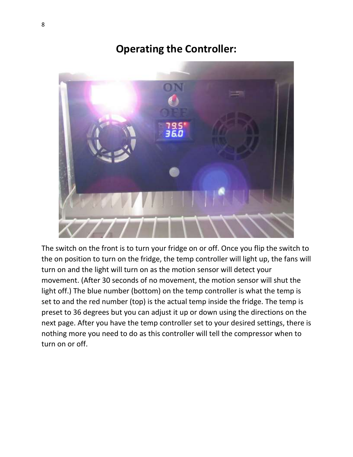# **Operating the Controller:**



The switch on the front is to turn your fridge on or off. Once you flip the switch to the on position to turn on the fridge, the temp controller will light up, the fans will turn on and the light will turn on as the motion sensor will detect your movement. (After 30 seconds of no movement, the motion sensor will shut the light off.) The blue number (bottom) on the temp controller is what the temp is set to and the red number (top) is the actual temp inside the fridge. The temp is preset to 36 degrees but you can adjust it up or down using the directions on the next page. After you have the temp controller set to your desired settings, there is nothing more you need to do as this controller will tell the compressor when to turn on or off.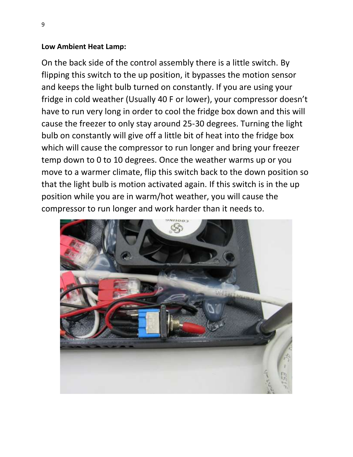### **Low Ambient Heat Lamp:**

On the back side of the control assembly there is a little switch. By flipping this switch to the up position, it bypasses the motion sensor and keeps the light bulb turned on constantly. If you are using your fridge in cold weather (Usually 40 F or lower), your compressor doesn't have to run very long in order to cool the fridge box down and this will cause the freezer to only stay around 25-30 degrees. Turning the light bulb on constantly will give off a little bit of heat into the fridge box which will cause the compressor to run longer and bring your freezer temp down to 0 to 10 degrees. Once the weather warms up or you move to a warmer climate, flip this switch back to the down position so that the light bulb is motion activated again. If this switch is in the up position while you are in warm/hot weather, you will cause the compressor to run longer and work harder than it needs to.